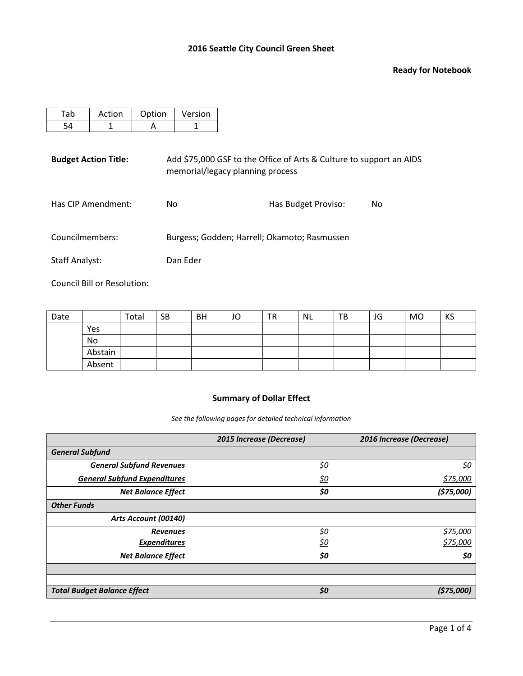#### **Ready for Notebook**

| Action | Option | Version |
|--------|--------|---------|
|        |        |         |

**Budget Action Title:** Add \$75,000 GSF to the Office of Arts & Culture to support an AIDS memorial/legacy planning process

| Has CIP Amendment: | No. | Has Budget Proviso: | No. |
|--------------------|-----|---------------------|-----|
|--------------------|-----|---------------------|-----|

Councilmembers: Burgess; Godden; Harrell; Okamoto; Rasmussen

Staff Analyst: Dan Eder

Council Bill or Resolution:

| Date |         | Total | <b>SB</b> | <b>BH</b> | JO | TR | NL | TВ | JG | <b>MO</b> | KS |
|------|---------|-------|-----------|-----------|----|----|----|----|----|-----------|----|
|      | Yes     |       |           |           |    |    |    |    |    |           |    |
|      | No      |       |           |           |    |    |    |    |    |           |    |
|      | Abstain |       |           |           |    |    |    |    |    |           |    |
|      | Absent  |       |           |           |    |    |    |    |    |           |    |

# **Summary of Dollar Effect**

*See the following pages for detailed technical information*

|                                     | 2015 Increase (Decrease) | 2016 Increase (Decrease) |
|-------------------------------------|--------------------------|--------------------------|
| <b>General Subfund</b>              |                          |                          |
| <b>General Subfund Revenues</b>     | \$0                      | \$0                      |
| <b>General Subfund Expenditures</b> | <u>\$0</u>               | \$75,000                 |
| <b>Net Balance Effect</b>           | \$0                      | (575,000)                |
| <b>Other Funds</b>                  |                          |                          |
| Arts Account (00140)                |                          |                          |
| <b>Revenues</b>                     | \$0                      | \$75,000                 |
| <b>Expenditures</b>                 | <u>\$0</u>               | \$75,000                 |
| <b>Net Balance Effect</b>           | \$0                      | \$0                      |
|                                     |                          |                          |
|                                     |                          |                          |
| <b>Total Budget Balance Effect</b>  | \$0                      | (575,000)                |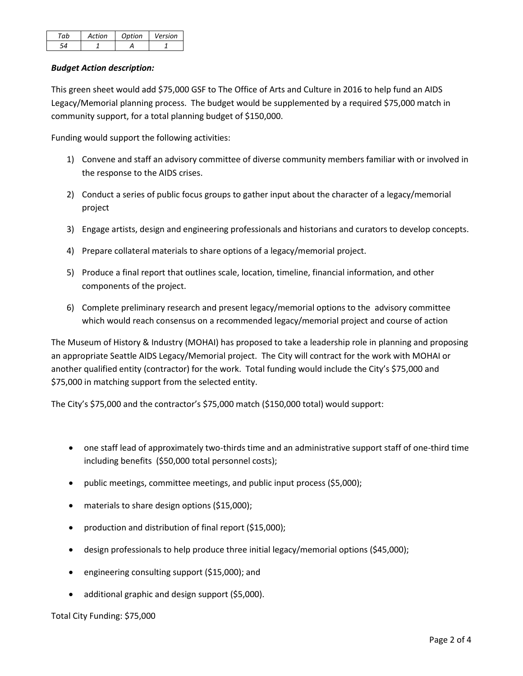| ction | Ontion | Version |
|-------|--------|---------|
|       |        |         |

# *Budget Action description:*

This green sheet would add \$75,000 GSF to The Office of Arts and Culture in 2016 to help fund an AIDS Legacy/Memorial planning process. The budget would be supplemented by a required \$75,000 match in community support, for a total planning budget of \$150,000.

Funding would support the following activities:

- 1) Convene and staff an advisory committee of diverse community members familiar with or involved in the response to the AIDS crises.
- 2) Conduct a series of public focus groups to gather input about the character of a legacy/memorial project
- 3) Engage artists, design and engineering professionals and historians and curators to develop concepts.
- 4) Prepare collateral materials to share options of a legacy/memorial project.
- 5) Produce a final report that outlines scale, location, timeline, financial information, and other components of the project.
- 6) Complete preliminary research and present legacy/memorial options to the advisory committee which would reach consensus on a recommended legacy/memorial project and course of action

The Museum of History & Industry (MOHAI) has proposed to take a leadership role in planning and proposing an appropriate Seattle AIDS Legacy/Memorial project. The City will contract for the work with MOHAI or another qualified entity (contractor) for the work. Total funding would include the City's \$75,000 and \$75,000 in matching support from the selected entity.

The City's \$75,000 and the contractor's \$75,000 match (\$150,000 total) would support:

- one staff lead of approximately two-thirds time and an administrative support staff of one-third time including benefits (\$50,000 total personnel costs);
- public meetings, committee meetings, and public input process (\$5,000);
- materials to share design options (\$15,000);
- production and distribution of final report (\$15,000);
- design professionals to help produce three initial legacy/memorial options (\$45,000);
- engineering consulting support (\$15,000); and
- additional graphic and design support (\$5,000).

Total City Funding: \$75,000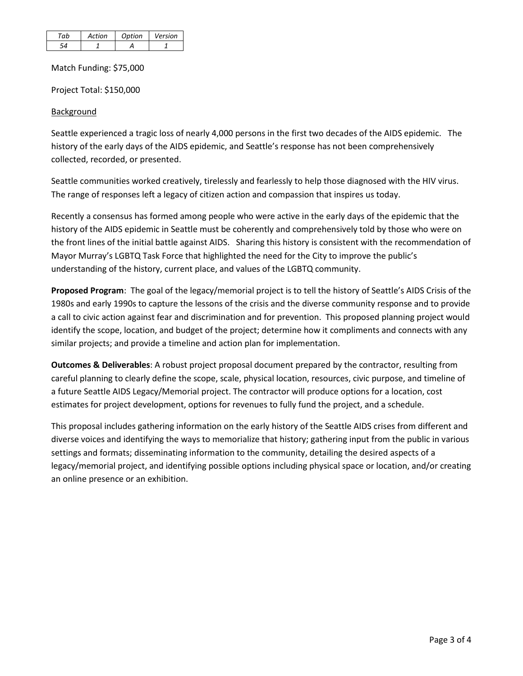| Action | Ontion | Version |
|--------|--------|---------|
|        |        |         |

Match Funding: \$75,000

Project Total: \$150,000

# **Background**

Seattle experienced a tragic loss of nearly 4,000 persons in the first two decades of the AIDS epidemic. The history of the early days of the AIDS epidemic, and Seattle's response has not been comprehensively collected, recorded, or presented.

Seattle communities worked creatively, tirelessly and fearlessly to help those diagnosed with the HIV virus. The range of responses left a legacy of citizen action and compassion that inspires us today.

Recently a consensus has formed among people who were active in the early days of the epidemic that the history of the AIDS epidemic in Seattle must be coherently and comprehensively told by those who were on the front lines of the initial battle against AIDS. Sharing this history is consistent with the recommendation of Mayor Murray's LGBTQ Task Force that highlighted the need for the City to improve the public's understanding of the history, current place, and values of the LGBTQ community.

**Proposed Program**: The goal of the legacy/memorial project is to tell the history of Seattle's AIDS Crisis of the 1980s and early 1990s to capture the lessons of the crisis and the diverse community response and to provide a call to civic action against fear and discrimination and for prevention. This proposed planning project would identify the scope, location, and budget of the project; determine how it compliments and connects with any similar projects; and provide a timeline and action plan for implementation.

**Outcomes & Deliverables**: A robust project proposal document prepared by the contractor, resulting from careful planning to clearly define the scope, scale, physical location, resources, civic purpose, and timeline of a future Seattle AIDS Legacy/Memorial project. The contractor will produce options for a location, cost estimates for project development, options for revenues to fully fund the project, and a schedule.

This proposal includes gathering information on the early history of the Seattle AIDS crises from different and diverse voices and identifying the ways to memorialize that history; gathering input from the public in various settings and formats; disseminating information to the community, detailing the desired aspects of a legacy/memorial project, and identifying possible options including physical space or location, and/or creating an online presence or an exhibition.